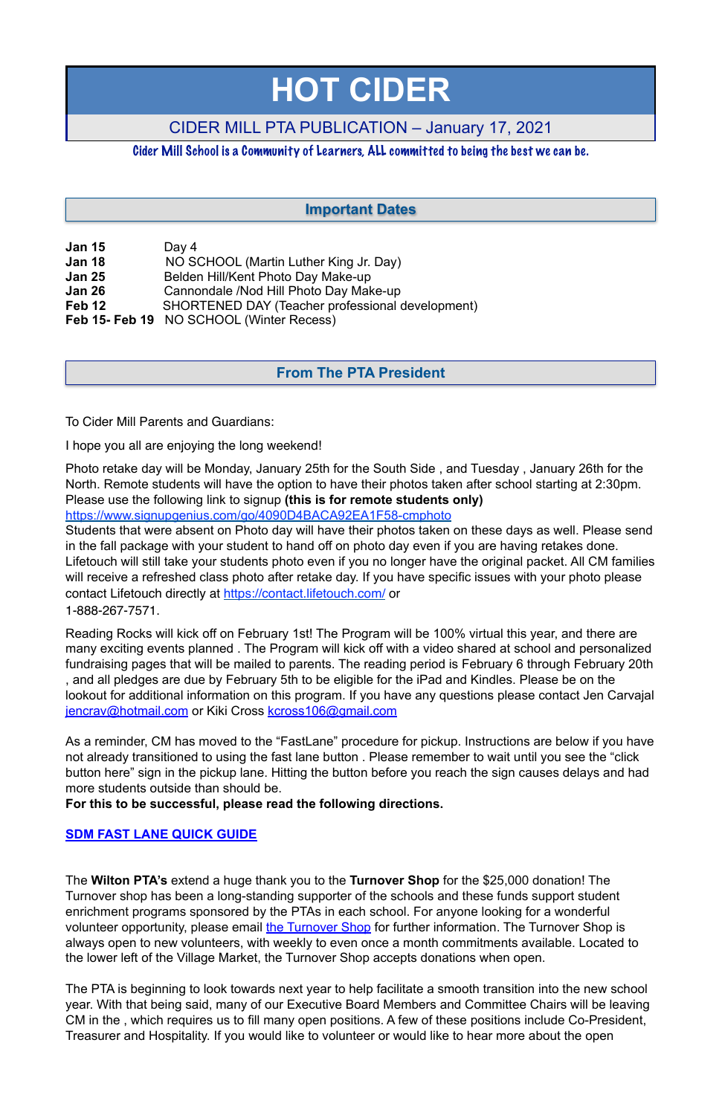| <b>Jan 15</b> | Day 4                                            |
|---------------|--------------------------------------------------|
| <b>Jan 18</b> | NO SCHOOL (Martin Luther King Jr. Day)           |
| <b>Jan 25</b> | Belden Hill/Kent Photo Day Make-up               |
| <b>Jan 26</b> | Cannondale /Nod Hill Photo Day Make-up           |
| Feb 12        | SHORTENED DAY (Teacher professional development) |
|               | Feb 15- Feb 19 NO SCHOOL (Winter Recess)         |

To Cider Mill Parents and Guardians:

I hope you all are enjoying the long weekend!

Photo retake day will be Monday, January 25th for the South Side , and Tuesday , January 26th for the North. Remote students will have the option to have their photos taken after school starting at 2:30pm. Please use the following link to signup **(this is for remote students only)**

[https://www.signupgenius.com/go/4090D4BACA92EA1F58-cmphoto](https://www.signupgenius.com/go/4090D4BACA92EA1F58-cmphoto%20)

Students that were absent on Photo day will have their photos taken on these days as well. Please send in the fall package with your student to hand off on photo day even if you are having retakes done. Lifetouch will still take your students photo even if you no longer have the original packet. All CM families will receive a refreshed class photo after retake day. If you have specific issues with your photo please contact Lifetouch directly at <https://contact.lifetouch.com/>or 1-888-267-7571.

Reading Rocks will kick off on February 1st! The Program will be 100% virtual this year, and there are many exciting events planned . The Program will kick off with a video shared at school and personalized fundraising pages that will be mailed to parents. The reading period is February 6 through February 20th , and all pledges are due by February 5th to be eligible for the iPad and Kindles. Please be on the lookout for additional information on this program. If you have any questions please contact Jen Carvajal [jencrav@hotmail.com](mailto:jencrav@hotmail.com) or Kiki Cross [kcross106@gmail.com](mailto:kcross106@gmail.com)

As a reminder, CM has moved to the "FastLane" procedure for pickup. Instructions are below if you have not already transitioned to using the fast lane button . Please remember to wait until you see the "click button here" sign in the pickup lane. Hitting the button before you reach the sign causes delays and had more students outside than should be.

**For this to be successful, please read the following directions.**

#### **[SDM FAST LANE QUICK GUIDE](#page-4-0)**

The **Wilton PTA's** extend a huge thank you to the **Turnover Shop** for the \$25,000 donation! The Turnover shop has been a long-standing supporter of the schools and these funds support student enrichment programs sponsored by the PTAs in each school. For anyone looking for a wonderful volunteer opportunity, please email [the Turnover Shop](mailto:turnoverfrontdesk@gmail.com%22%20%5Ct%20%22_blank) for further information. The Turnover Shop is always open to new volunteers, with weekly to even once a month commitments available. Located to the lower left of the Village Market, the Turnover Shop accepts donations when open.

The PTA is beginning to look towards next year to help facilitate a smooth transition into the new school year. With that being said, many of our Executive Board Members and Committee Chairs will be leaving CM in the , which requires us to fill many open positions. A few of these positions include Co-President, Treasurer and Hospitality. If you would like to volunteer or would like to hear more about the open

# **HOT CIDER**

## CIDER MILL PTA PUBLICATION – January 17, 2021

### Cider Mill School is a Community of Learners, ALL committed to being the best we can be.

## **From The PTA President**

## **Important Dates**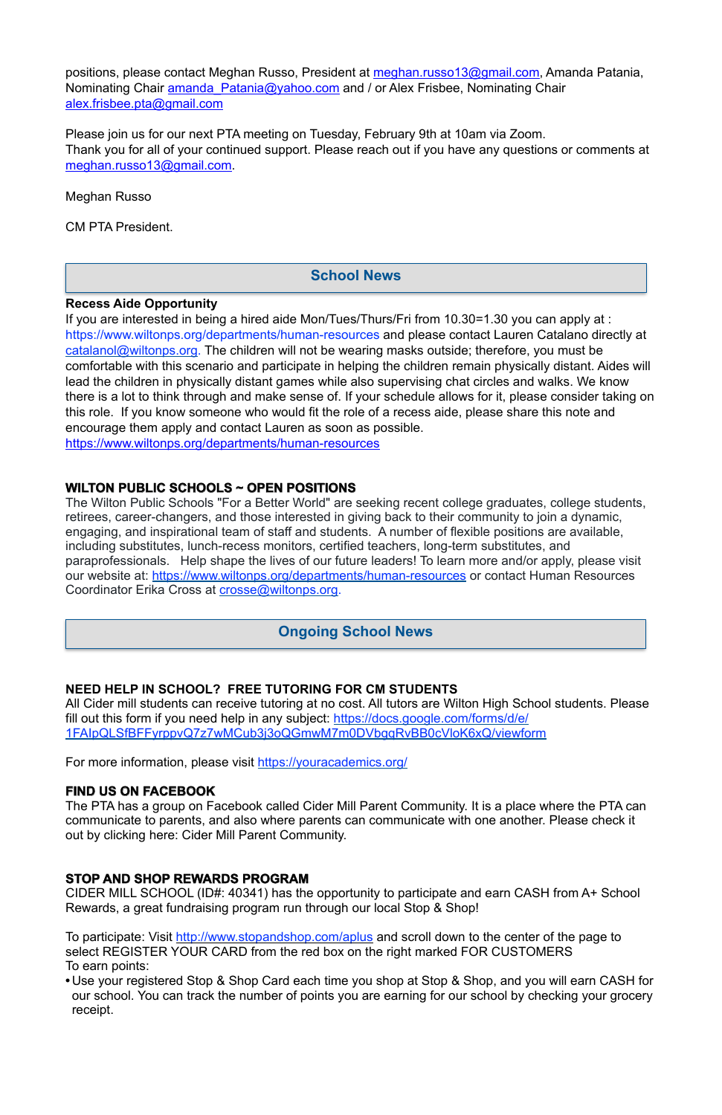positions, please contact Meghan Russo, President at [meghan.russo13@gmail.com](mailto:meghan.russo13@gmail.com), Amanda Patania, Nominating Chair amanda Patania@yahoo.com and / or Alex Frisbee, Nominating Chair [alex.frisbee.pta@gmail.com](mailto:alex.frisbee.pta@gmail.com)

Please join us for our next PTA meeting on Tuesday, February 9th at 10am via Zoom. Thank you for all of your continued support. Please reach out if you have any questions or comments at [meghan.russo13@gmail.com](mailto:meghan.russo13@gmail.com).

Meghan Russo

CM PTA President.

#### **Recess Aide Opportunity**

The Wilton Public Schools "For a Better World" are seeking recent college graduates, college students, retirees, career-changers, and those interested in giving back to their community to join a dynamic, engaging, and inspirational team of staff and students. A number of flexible positions are available, including substitutes, lunch-recess monitors, certified teachers, long-term substitutes, and paraprofessionals. Help shape the lives of our future leaders! To learn more and/or apply, please visit our website at: <https://www.wiltonps.org/departments/human-resources> or contact Human Resources Coordinator Erika Cross at [crosse@wiltonps.org.](mailto:crosse@wiltonps.org)

If you are interested in being a hired aide Mon/Tues/Thurs/Fri from 10.30=1.30 you can apply at : [https://www.wiltonps.org/departments/human-resources](https://www.wiltonps.org/departments/human-resources?fbclid=IwAR3TUVxBrbxg-pc-qi8vNYs1B7cVNLy0eo0eWHb_Ec4rm5JfvXLo5GGe2Fw) and please contact Lauren Catalano directly at [catalanol@wiltonps.org.](mailto:catalanol@wiltonps.org) The children will not be wearing masks outside; therefore, you must be comfortable with this scenario and participate in helping the children remain physically distant. Aides will lead the children in physically distant games while also supervising chat circles and walks. We know there is a lot to think through and make sense of. If your schedule allows for it, please consider taking on this role. If you know someone who would fit the role of a recess aide, please share this note and encourage them apply and contact Lauren as soon as possible. [https://www.wiltonps.org/departments/human-resources](https://l.facebook.com/l.php?u=https%3A%2F%2Fwww.wiltonps.org%2Fdepartments%2Fhuman-resources%3Ffbclid%3DIwAR2A4FCNJ2PRz6saqACZxGQewdpueeLs8yA01V7fJf-h4rxef6eBr3va0mQ&h=AT35quouDc-gAkkL_UQZmnM6yuafnMfhRsXSVey1KWxqd-e2cb2LoyUJ2VwWnQTEbY3ydh0AehTco63atFeeYRDqaAEjKZALXaQWsjpzoxjEVgeZXuhaEeQvwLm9hFsBVg&__tn__=-UK-R&c%5B0%5D=AT0RJcBQtfzwnFAYG4OyjJLHDj5Xyg0m6ppVhAlM-uw6hp2WgexbkZlp8xaNC1zm391-PoLqVwu_j8QX5vFV0bL5BOnqnI8rQdoCjG7PAyX4mdjKXUjjyjBxJoy9lfKU2doW8JBqcQdUdp5UxjY2qEZANUroc9XCFxLgZopfCMfHMCHSySNYkY8jJU89yACoTalNR99W43fLeV2QLg)

#### **WILTON PUBLIC SCHOOLS ~ OPEN POSITIONS**

#### **NEED HELP IN SCHOOL? FREE TUTORING FOR CM STUDENTS**

All Cider mill students can receive tutoring at no cost. All tutors are Wilton High School students. Please fill out this form if you need help in any subject: [https://docs.google.com/forms/d/e/](https://docs.google.com/forms/d/e/1FAIpQLSfBFFyrppvQ7z7wMCub3j3oQGmwM7m0DVbgqRvBB0cVloK6xQ/viewform) [1FAIpQLSfBFFyrppvQ7z7wMCub3j3oQGmwM7m0DVbgqRvBB0cVloK6xQ/viewform](https://docs.google.com/forms/d/e/1FAIpQLSfBFFyrppvQ7z7wMCub3j3oQGmwM7m0DVbgqRvBB0cVloK6xQ/viewform)

For more information, please visit <https://youracademics.org/>

#### **FIND US ON FACEBOOK**

The PTA has a group on Facebook called Cider Mill Parent Community. It is a place where the PTA can communicate to parents, and also where parents can communicate with one another. Please check it out by clicking here: [Cider Mill Parent Community.](https://www.facebook.com/groups/1168962513117647/)

#### **STOP AND SHOP REWARDS PROGRAM**

CIDER MILL SCHOOL (ID#: 40341) has the opportunity to participate and earn CASH from A+ School Rewards, a great fundraising program run through our local Stop & Shop!

To participate: Visit<http://www.stopandshop.com/aplus> and scroll down to the center of the page to select REGISTER YOUR CARD from the red box on the right marked FOR CUSTOMERS To earn points:

**•** Use your registered Stop & Shop Card each time you shop at Stop & Shop, and you will earn CASH for our school. You can track the number of points you are earning for our school by checking your grocery receipt.

#### **School News**

### **Ongoing School News**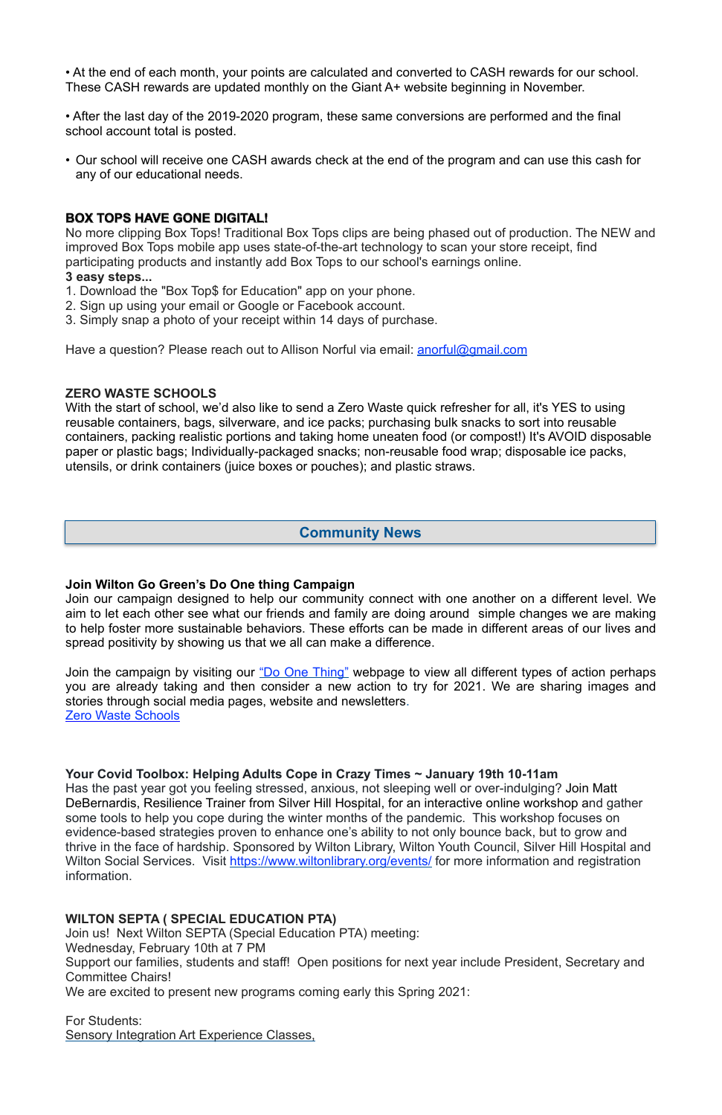• At the end of each month, your points are calculated and converted to CASH rewards for our school. These CASH rewards are updated monthly on the Giant A+ website beginning in November.

• After the last day of the 2019-2020 program, these same conversions are performed and the final school account total is posted.

• Our school will receive one CASH awards check at the end of the program and can use this cash for any of our educational needs.

#### **BOX TOPS HAVE GONE DIGITAL!**

No more clipping Box Tops! Traditional Box Tops clips are being phased out of production. The NEW and improved Box Tops mobile app uses state-of-the-art technology to scan your store receipt, find participating products and instantly add Box Tops to our school's earnings online. **3 easy steps...** 

With the start of school, we'd also like to send a Zero Waste quick refresher for all, it's YES to using reusable containers, bags, silverware, and ice packs; purchasing bulk snacks to sort into reusable containers, packing realistic portions and taking home uneaten food (or compost!) It's AVOID disposable paper or plastic bags; Individually-packaged snacks; non-reusable food wrap; disposable ice packs, utensils, or drink containers (juice boxes or pouches); and plastic straws.

- 1. Download the "Box Top\$ for Education" app on your phone.
- 2. Sign up using your email or Google or Facebook account.
- 3. Simply snap a photo of your receipt within 14 days of purchase.

Have a question? Please reach out to Allison Norful via email: **anorful@gmail.com** 

#### **ZERO WASTE SCHOOLS**

Join the campaign by visiting our ["Do One Thing"](https://wiltongogreen.org/doonething/) webpage to view all different types of action perhaps you are already taking and then consider a new action to try for 2021. We are sharing images and stories through social media pages, website and newsletters. [Zero Waste Schools](https://sites.google.com/wiltonps.org/wiltonzerowaste/home)

#### **Join Wilton Go Green's Do One thing Campaign**

Join our campaign designed to help our community connect with one another on a different level. We aim to let each other see what our friends and family are doing around simple changes we are making to help foster more sustainable behaviors. These efforts can be made in different areas of our lives and spread positivity by showing us that we all can make a difference.

#### **Your Covid Toolbox: Helping Adults Cope in Crazy Times ~ January 19th 10-11am**

Has the past year got you feeling stressed, anxious, not sleeping well or over-indulging? Join Matt DeBernardis, Resilience Trainer from Silver Hill Hospital, for an interactive online workshop and gather some tools to help you cope during the winter months of the pandemic. This workshop focuses on evidence-based strategies proven to enhance one's ability to not only bounce back, but to grow and thrive in the face of hardship. Sponsored by Wilton Library, Wilton Youth Council, Silver Hill Hospital and Wilton Social Services. Visit <https://www.wiltonlibrary.org/events/>for more information and registration information.

#### **WILTON SEPTA ( SPECIAL EDUCATION PTA)**

Join us! Next Wilton SEPTA (Special Education PTA) meeting:

Wednesday, February 10th at 7 PM

Support our families, students and staff! Open positions for next year include President, Secretary and Committee Chairs!

We are excited to present new programs coming early this Spring 2021:

For Students: Sensory Integration Art Experience Classes,

#### **Community News**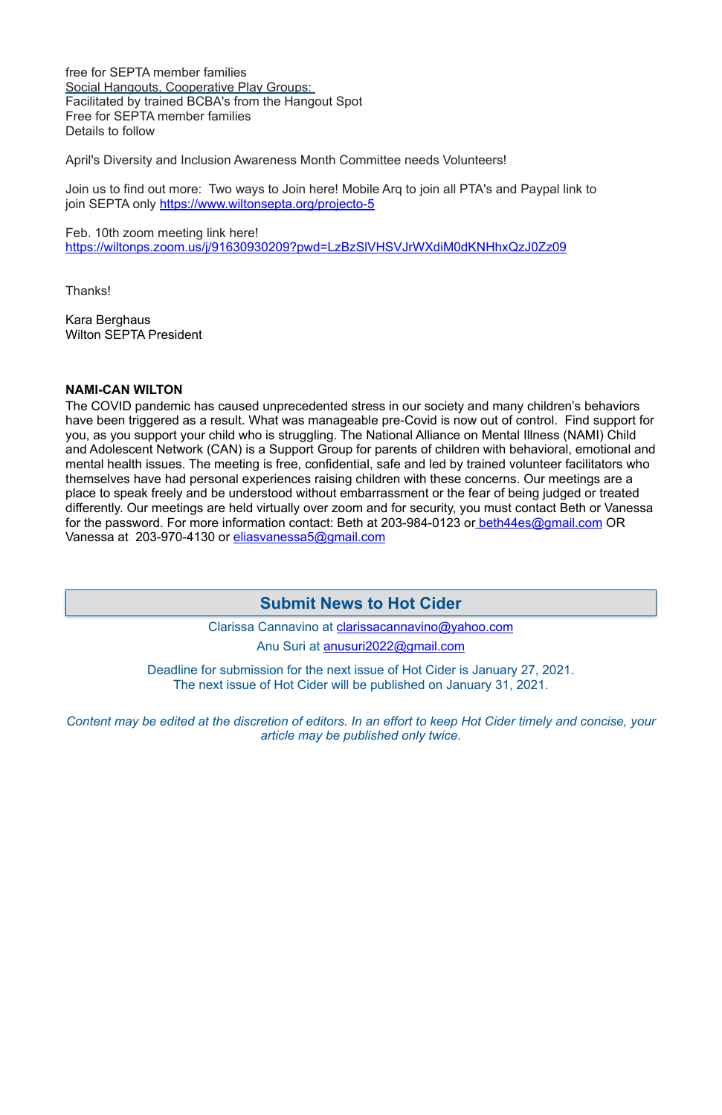free for SEPTA member families Social Hangouts, Cooperative Play Groups: Facilitated by trained BCBA's from the Hangout Spot Free for SEPTA member families Details to follow

Join us to find out more: Two ways to Join here! Mobile Arq to join all PTA's and Paypal link to join SEPTA only<https://www.wiltonsepta.org/projecto-5>

April's Diversity and Inclusion Awareness Month Committee needs Volunteers!

Feb. 10th zoom meeting link here! <https://wiltonps.zoom.us/j/91630930209?pwd=LzBzSlVHSVJrWXdiM0dKNHhxQzJ0Zz09>

Thanks!

Kara Berghaus Wilton SEPTA President

#### **NAMI-CAN WILTON**

Clarissa Cannavino at [clarissacannavino@yahoo.com](mailto:clarissacannavino@yahoo.com) Anu Suri at [anusuri2022@gmail.com](mailto:anusuri2022@gmail.com)

The COVID pandemic has caused unprecedented stress in our society and many children's behaviors have been triggered as a result. What was manageable pre-Covid is now out of control. Find support for you, as you support your child who is struggling. The National Alliance on Mental Illness (NAMI) Child and Adolescent Network (CAN) is a Support Group for parents of children with behavioral, emotional and mental health issues. The meeting is free, confidential, safe and led by trained volunteer facilitators who themselves have had personal experiences raising children with these concerns. Our meetings are a place to speak freely and be understood without embarrassment or the fear of being judged or treated differently. Our meetings are held virtually over zoom and for security, you must contact Beth or Vanessa for the password. For more information contact: Beth at 203-984-0123 or [beth44es@gmail.com](mailto:beth44es@gmail.com) OR Vanessa at 203-970-4130 or [eliasvanessa5@gmail.com](mailto:eliasvanessa5@gmail.com)

> Deadline for submission for the next issue of Hot Cider is January 27, 2021. The next issue of Hot Cider will be published on January 31, 2021.

*Content may be edited at the discretion of editors. In an effort to keep Hot Cider timely and concise, your article may be published only twice.* 

## **Submit News to Hot Cider**